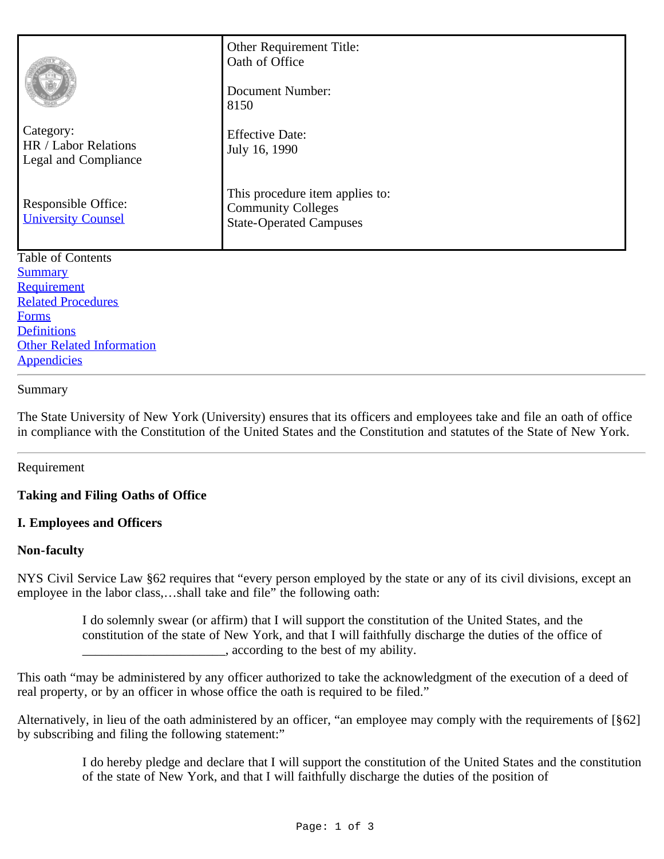|                                                           | Other Requirement Title:<br>Oath of Office<br>Document Number:<br>8150                         |
|-----------------------------------------------------------|------------------------------------------------------------------------------------------------|
| Category:<br>HR / Labor Relations<br>Legal and Compliance | <b>Effective Date:</b><br>July 16, 1990                                                        |
| Responsible Office:<br><b>University Counsel</b>          | This procedure item applies to:<br><b>Community Colleges</b><br><b>State-Operated Campuses</b> |
| Table of Contents                                         |                                                                                                |
| <b>Summary</b>                                            |                                                                                                |
| Requirement                                               |                                                                                                |
| <b>Related Procedures</b>                                 |                                                                                                |
| <b>Forms</b>                                              |                                                                                                |
| <b>Definitions</b>                                        |                                                                                                |
| <b>Other Related Information</b>                          |                                                                                                |

# **[Appendicies](#page-2-4)**

## Summary

The State University of New York (University) ensures that its officers and employees take and file an oath of office in compliance with the Constitution of the United States and the Constitution and statutes of the State of New York.

## Requirement

## **Taking and Filing Oaths of Office**

## **I. Employees and Officers**

## **Non-faculty**

NYS Civil Service Law §62 requires that "every person employed by the state or any of its civil divisions, except an employee in the labor class,…shall take and file" the following oath:

> I do solemnly swear (or affirm) that I will support the constitution of the United States, and the constitution of the state of New York, and that I will faithfully discharge the duties of the office of  $\Box$ , according to the best of my ability.

This oath "may be administered by any officer authorized to take the acknowledgment of the execution of a deed of real property, or by an officer in whose office the oath is required to be filed."

Alternatively, in lieu of the oath administered by an officer, "an employee may comply with the requirements of [§62] by subscribing and filing the following statement:"

> I do hereby pledge and declare that I will support the constitution of the United States and the constitution of the state of New York, and that I will faithfully discharge the duties of the position of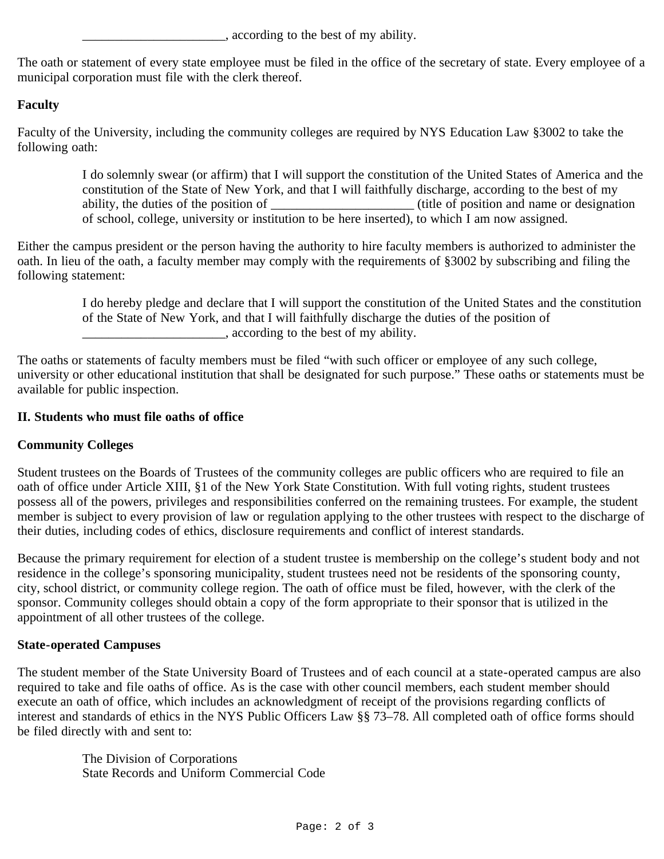$\Box$ , according to the best of my ability.

The oath or statement of every state employee must be filed in the office of the secretary of state. Every employee of a municipal corporation must file with the clerk thereof.

# **Faculty**

Faculty of the University, including the community colleges are required by NYS Education Law §3002 to take the following oath:

> I do solemnly swear (or affirm) that I will support the constitution of the United States of America and the constitution of the State of New York, and that I will faithfully discharge, according to the best of my ability, the duties of the position of \_\_\_\_\_\_\_\_\_\_\_\_\_\_\_\_\_\_\_\_\_\_ (title of position and name or designation of school, college, university or institution to be here inserted), to which I am now assigned.

Either the campus president or the person having the authority to hire faculty members is authorized to administer the oath. In lieu of the oath, a faculty member may comply with the requirements of §3002 by subscribing and filing the following statement:

> I do hereby pledge and declare that I will support the constitution of the United States and the constitution of the State of New York, and that I will faithfully discharge the duties of the position of \_\_\_\_\_\_\_\_\_\_\_\_\_\_\_\_\_\_\_\_\_\_, according to the best of my ability.

The oaths or statements of faculty members must be filed "with such officer or employee of any such college, university or other educational institution that shall be designated for such purpose." These oaths or statements must be available for public inspection.

# **II. Students who must file oaths of office**

# **Community Colleges**

Student trustees on the Boards of Trustees of the community colleges are public officers who are required to file an oath of office under Article XIII, §1 of the New York State Constitution. With full voting rights, student trustees possess all of the powers, privileges and responsibilities conferred on the remaining trustees. For example, the student member is subject to every provision of law or regulation applying to the other trustees with respect to the discharge of their duties, including codes of ethics, disclosure requirements and conflict of interest standards.

Because the primary requirement for election of a student trustee is membership on the college's student body and not residence in the college's sponsoring municipality, student trustees need not be residents of the sponsoring county, city, school district, or community college region. The oath of office must be filed, however, with the clerk of the sponsor. Community colleges should obtain a copy of the form appropriate to their sponsor that is utilized in the appointment of all other trustees of the college.

## **State-operated Campuses**

The student member of the State University Board of Trustees and of each council at a state-operated campus are also required to take and file oaths of office. As is the case with other council members, each student member should execute an oath of office, which includes an acknowledgment of receipt of the provisions regarding conflicts of interest and standards of ethics in the NYS Public Officers Law §§ 73–78. All completed oath of office forms should be filed directly with and sent to:

> The Division of Corporations State Records and Uniform Commercial Code